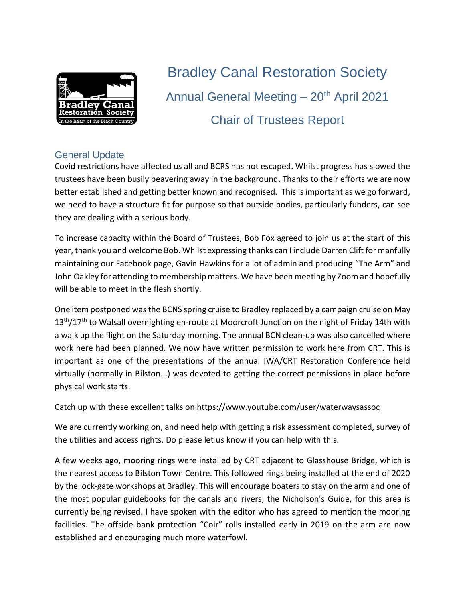

Bradley Canal Restoration Society Annual General Meeting  $-20<sup>th</sup>$  April 2021 Chair of Trustees Report

## General Update

Covid restrictions have affected us all and BCRS has not escaped. Whilst progress has slowed the trustees have been busily beavering away in the background. Thanks to their efforts we are now better established and getting better known and recognised. This isimportant as we go forward, we need to have a structure fit for purpose so that outside bodies, particularly funders, can see they are dealing with a serious body.

To increase capacity within the Board of Trustees, Bob Fox agreed to join us at the start of this year, thank you and welcome Bob. Whilst expressing thanks can I include Darren Clift for manfully maintaining our Facebook page, Gavin Hawkins for a lot of admin and producing "The Arm" and John Oakley for attending to membership matters. We have been meeting by Zoom and hopefully will be able to meet in the flesh shortly.

One item postponed was the BCNS spring cruise to Bradley replaced by a campaign cruise on May 13<sup>th</sup>/17<sup>th</sup> to Walsall overnighting en-route at Moorcroft Junction on the night of Friday 14th with a walk up the flight on the Saturday morning. The annual BCN clean-up was also cancelled where work here had been planned. We now have written permission to work here from CRT. This is important as one of the presentations of the annual IWA/CRT Restoration Conference held virtually (normally in Bilston...) was devoted to getting the correct permissions in place before physical work starts.

Catch up with these excellent talks on <https://www.youtube.com/user/waterwaysassoc>

We are currently working on, and need help with getting a risk assessment completed, survey of the utilities and access rights. Do please let us know if you can help with this.

A few weeks ago, mooring rings were installed by CRT adjacent to Glasshouse Bridge, which is the nearest access to Bilston Town Centre. This followed rings being installed at the end of 2020 by the lock-gate workshops at Bradley. This will encourage boaters to stay on the arm and one of the most popular guidebooks for the canals and rivers; the Nicholson's Guide, for this area is currently being revised. I have spoken with the editor who has agreed to mention the mooring facilities. The offside bank protection "Coir" rolls installed early in 2019 on the arm are now established and encouraging much more waterfowl.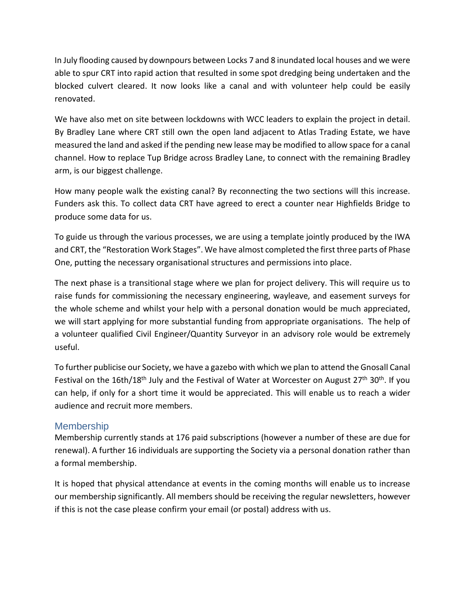In July flooding caused by downpours between Locks 7 and 8 inundated local houses and we were able to spur CRT into rapid action that resulted in some spot dredging being undertaken and the blocked culvert cleared. It now looks like a canal and with volunteer help could be easily renovated.

We have also met on site between lockdowns with WCC leaders to explain the project in detail. By Bradley Lane where CRT still own the open land adjacent to Atlas Trading Estate, we have measured the land and asked if the pending new lease may be modified to allow space for a canal channel. How to replace Tup Bridge across Bradley Lane, to connect with the remaining Bradley arm, is our biggest challenge.

How many people walk the existing canal? By reconnecting the two sections will this increase. Funders ask this. To collect data CRT have agreed to erect a counter near Highfields Bridge to produce some data for us.

To guide us through the various processes, we are using a template jointly produced by the IWA and CRT, the "Restoration Work Stages". We have almost completed the first three parts of Phase One, putting the necessary organisational structures and permissions into place.

The next phase is a transitional stage where we plan for project delivery. This will require us to raise funds for commissioning the necessary engineering, wayleave, and easement surveys for the whole scheme and whilst your help with a personal donation would be much appreciated, we will start applying for more substantial funding from appropriate organisations. The help of a volunteer qualified Civil Engineer/Quantity Surveyor in an advisory role would be extremely useful.

To further publicise our Society, we have a gazebo with which we plan to attend the Gnosall Canal Festival on the 16th/18<sup>th</sup> July and the Festival of Water at Worcester on August 27<sup>th</sup> 30<sup>th</sup>. If you can help, if only for a short time it would be appreciated. This will enable us to reach a wider audience and recruit more members.

## Membership

Membership currently stands at 176 paid subscriptions (however a number of these are due for renewal). A further 16 individuals are supporting the Society via a personal donation rather than a formal membership.

It is hoped that physical attendance at events in the coming months will enable us to increase our membership significantly. All members should be receiving the regular newsletters, however if this is not the case please confirm your email (or postal) address with us.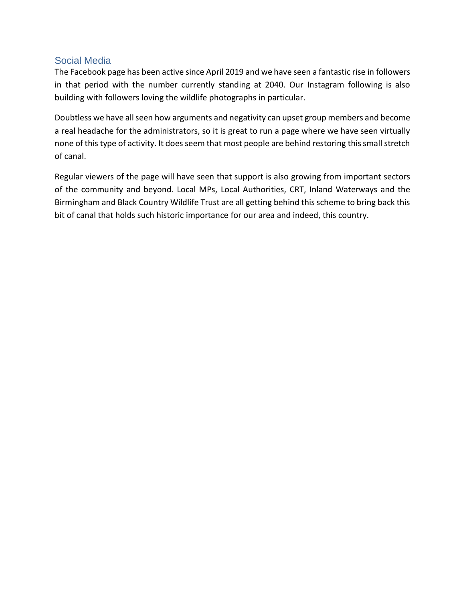## Social Media

The Facebook page has been active since April 2019 and we have seen a fantastic rise in followers in that period with the number currently standing at 2040. Our Instagram following is also building with followers loving the wildlife photographs in particular.

Doubtless we have all seen how arguments and negativity can upset group members and become a real headache for the administrators, so it is great to run a page where we have seen virtually none of this type of activity. It does seem that most people are behind restoring this small stretch of canal.

Regular viewers of the page will have seen that support is also growing from important sectors of the community and beyond. Local MPs, Local Authorities, CRT, Inland Waterways and the Birmingham and Black Country Wildlife Trust are all getting behind thisscheme to bring back this bit of canal that holds such historic importance for our area and indeed, this country.